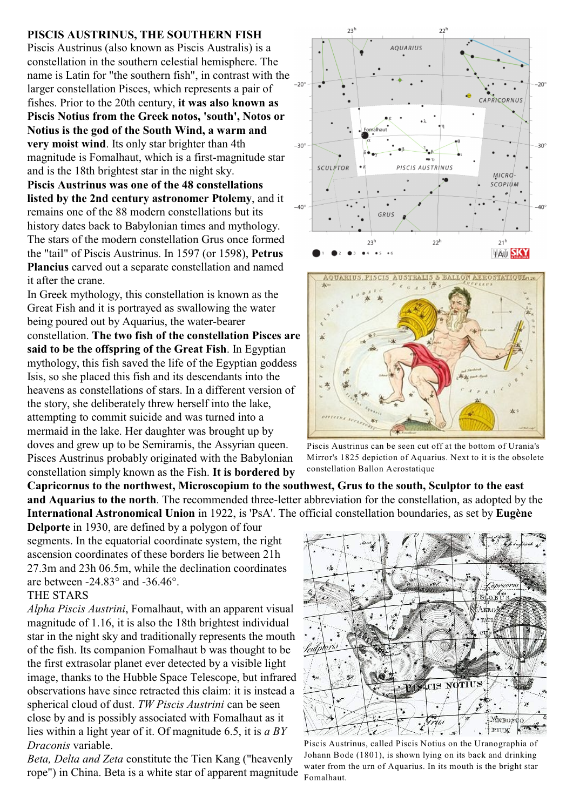## **PISCIS AUSTRINUS, THE SOUTHERN FISH**

Piscis Austrinus (also known as Piscis Australis) is a constellation in the southern celestial hemisphere. The name is Latin for "the southern fish", in contrast with the larger constellation Pisces, which represents a pair of fishes. Prior to the 20th century, **it was also known as Piscis Notius from the Greek notos, 'south', Notos or Notius is the god of the South Wind, a warm and very moist wind**. Its only star brighter than 4th magnitude is Fomalhaut, which is a first-magnitude star and is the 18th brightest star in the night sky.

**Piscis Austrinus was one of the 48 constellations listed by the 2nd century astronomer Ptolemy**, and it remains one of the 88 modern constellations but its history dates back to Babylonian times and mythology. The stars of the modern constellation Grus once formed the "tail" of Piscis Austrinus. In 1597 (or 1598), **Petrus Plancius** carved out a separate constellation and named it after the crane.

In Greek mythology, this constellation is known as the Great Fish and it is portrayed as swallowing the water being poured out by Aquarius, the water-bearer constellation. **The two fish of the constellation Pisces are said to be the offspring of the Great Fish**. In Egyptian mythology, this fish saved the life of the Egyptian goddess Isis, so she placed this fish and its descendants into the heavens as constellations of stars. In a different version of the story, she deliberately threw herself into the lake, attempting to commit suicide and was turned into a mermaid in the lake. Her daughter was brought up by doves and grew up to be Semiramis, the Assyrian queen. Pisces Austrinus probably originated with the Babylonian constellation simply known as the Fish. **It is bordered by**

**Capricornus to the northwest, Microscopium to the southwest, Grus to the south, Sculptor to the east and Aquarius to the north**. The recommended three-letter abbreviation for the constellation, as adopted by the **International Astronomical Union** in 1922, is 'PsA'. The official constellation boundaries, as set by **Eugène**

**Delporte** in 1930, are defined by a polygon of four segments. In the equatorial coordinate system, the right ascension coordinates of these borders lie between 21h 27.3m and 23h 06.5m, while the declination coordinates are between -24.83° and -36.46°.

## THE STARS

*Alpha Piscis Austrini*, Fomalhaut, with an apparent visual magnitude of 1.16, it is also the 18th brightest individual star in the night sky and traditionally represents the mouth of the fish. Its companion Fomalhaut b was thought to be the first extrasolar planet ever detected by a visible light image, thanks to the Hubble Space Telescope, but infrared observations have since retracted this claim: it is instead a spherical cloud of dust. *TW Piscis Austrini* can be seen close by and is possibly associated with Fomalhaut as it lies within a light year of it. Of magnitude 6.5, it is *a BY Draconis* variable.

*Beta, Delta and Zeta* constitute the Tien Kang ("heavenly rope") in China. Beta is a white star of apparent magnitude





Piscis Austrinus can be seen cut off at the bottom of Urania's Mirror's 1825 depiction of Aquarius. Next to it is the obsolete constellation Ballon Aerostatique



Piscis Austrinus, called Piscis Notius on the Uranographia of Johann Bode (1801), is shown lying on its back and drinking water from the urn of Aquarius. In its mouth is the bright star Fomalhaut.